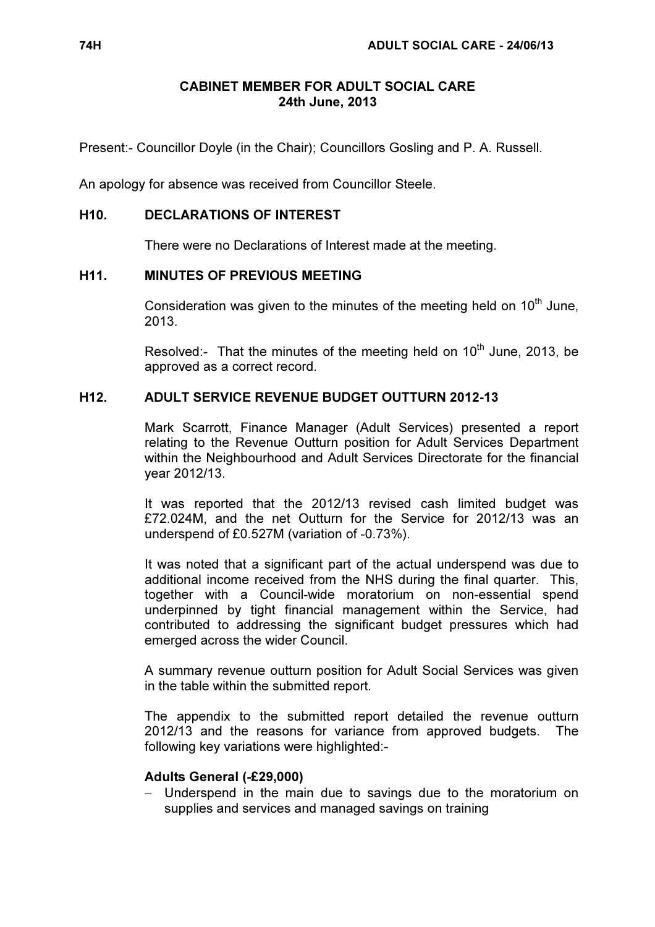## CABINET MEMBER FOR ADULT SOCIAL CARE 24th June, 2013

Present:- Councillor Doyle (in the Chair); Councillors Gosling and P. A. Russell.

An apology for absence was received from Councillor Steele.

#### H10. DECLARATIONS OF INTEREST

There were no Declarations of Interest made at the meeting.

## H11. MINUTES OF PREVIOUS MEETING

Consideration was given to the minutes of the meeting held on  $10<sup>th</sup>$  June, 2013.

Resolved:- That the minutes of the meeting held on 10<sup>th</sup> June, 2013, be approved as a correct record.

# H12. ADULT SERVICE REVENUE BUDGET OUTTURN 2012-13

 Mark Scarrott, Finance Manager (Adult Services) presented a report relating to the Revenue Outturn position for Adult Services Department within the Neighbourhood and Adult Services Directorate for the financial year 2012/13.

It was reported that the 2012/13 revised cash limited budget was £72.024M, and the net Outturn for the Service for 2012/13 was an underspend of £0.527M (variation of -0.73%).

It was noted that a significant part of the actual underspend was due to additional income received from the NHS during the final quarter. This, together with a Council-wide moratorium on non-essential spend underpinned by tight financial management within the Service, had contributed to addressing the significant budget pressures which had emerged across the wider Council.

A summary revenue outturn position for Adult Social Services was given in the table within the submitted report.

The appendix to the submitted report detailed the revenue outturn 2012/13 and the reasons for variance from approved budgets. The following key variations were highlighted:-

#### Adults General (-£29,000)

− Underspend in the main due to savings due to the moratorium on supplies and services and managed savings on training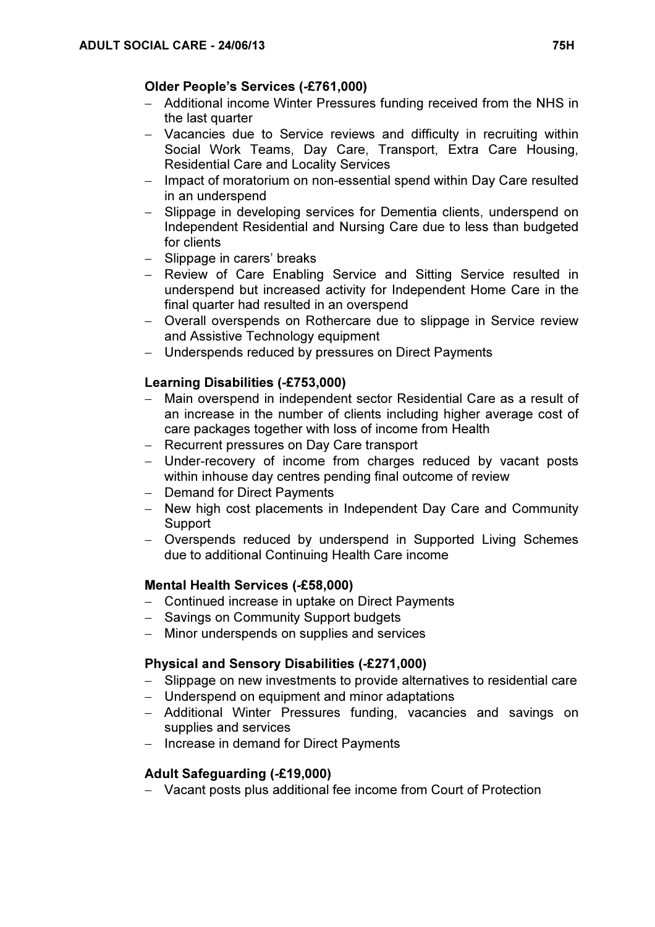## Older People's Services (-£761,000)

- − Additional income Winter Pressures funding received from the NHS in the last quarter
- − Vacancies due to Service reviews and difficulty in recruiting within Social Work Teams, Day Care, Transport, Extra Care Housing, Residential Care and Locality Services
- − Impact of moratorium on non-essential spend within Day Care resulted in an underspend
- − Slippage in developing services for Dementia clients, underspend on Independent Residential and Nursing Care due to less than budgeted for clients
- − Slippage in carers' breaks
- − Review of Care Enabling Service and Sitting Service resulted in underspend but increased activity for Independent Home Care in the final quarter had resulted in an overspend
- − Overall overspends on Rothercare due to slippage in Service review and Assistive Technology equipment
- − Underspends reduced by pressures on Direct Payments

## Learning Disabilities (-£753,000)

- − Main overspend in independent sector Residential Care as a result of an increase in the number of clients including higher average cost of care packages together with loss of income from Health
- − Recurrent pressures on Day Care transport
- − Under-recovery of income from charges reduced by vacant posts within inhouse day centres pending final outcome of review
- − Demand for Direct Payments
- − New high cost placements in Independent Day Care and Community Support
- − Overspends reduced by underspend in Supported Living Schemes due to additional Continuing Health Care income

## Mental Health Services (-£58,000)

- − Continued increase in uptake on Direct Payments
- − Savings on Community Support budgets
- − Minor underspends on supplies and services

# Physical and Sensory Disabilities (-£271,000)

- − Slippage on new investments to provide alternatives to residential care
- − Underspend on equipment and minor adaptations
- − Additional Winter Pressures funding, vacancies and savings on supplies and services
- − Increase in demand for Direct Payments

## Adult Safeguarding (-£19,000)

− Vacant posts plus additional fee income from Court of Protection